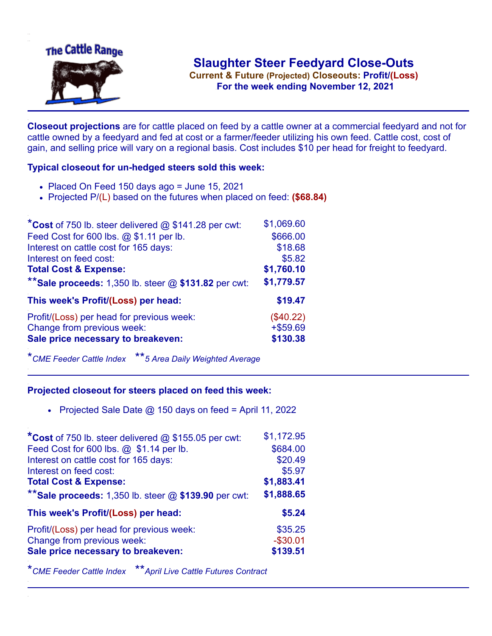

**Current & Future (Projected) Closeouts: Profit/(Loss)** .**For the week ending November 12, 2021**

**Closeout projections** are for cattle placed on feed by a cattle owner at a commercial feedyard and not for cattle owned by a feedyard and fed at cost or a farmer/feeder utilizing his own feed. Cattle cost, cost of gain, and selling price will vary on a regional basis. Cost includes \$10 per head for freight to feedyard.

## **Typical closeout for un-hedged steers sold this week:**

- Placed On Feed 150 days ago = June 15, 2021
- Projected P/(L) based on the futures when placed on feed: **(\$68.84)**

| *Cost of 750 lb. steer delivered $@$ \$141.28 per cwt:  | \$1,069.60  |
|---------------------------------------------------------|-------------|
| Feed Cost for 600 lbs. @ \$1.11 per lb.                 | \$666.00    |
| Interest on cattle cost for 165 days:                   | \$18.68     |
| Interest on feed cost:                                  | \$5.82      |
| <b>Total Cost &amp; Expense:</b>                        | \$1,760.10  |
| ** Sale proceeds: 1,350 lb. steer $@$ \$131.82 per cwt: | \$1,779.57  |
| This week's Profit/(Loss) per head:                     | \$19.47     |
| Profit/(Loss) per head for previous week:               | (\$40.22)   |
| Change from previous week:                              | $+$ \$59.69 |
| Sale price necessary to breakeven:                      | \$130.38    |

\**CME Feeder Cattle Index* \*\**5 Area Daily Weighted Average*

## **Projected closeout for steers placed on feed this week:**

• Projected Sale Date  $@$  150 days on feed = April 11, 2022

| *Cost of 750 lb. steer delivered @ \$155.05 per cwt:    | \$1,172.95 |
|---------------------------------------------------------|------------|
| Feed Cost for 600 lbs. @ \$1.14 per lb.                 | \$684.00   |
| Interest on cattle cost for 165 days:                   | \$20.49    |
| Interest on feed cost:                                  | \$5.97     |
| <b>Total Cost &amp; Expense:</b>                        | \$1,883.41 |
| ** Sale proceeds: 1,350 lb. steer $@$ \$139.90 per cwt: | \$1,888.65 |
| This week's Profit/(Loss) per head:                     | \$5.24     |
| Profit/(Loss) per head for previous week:               | \$35.25    |
| Change from previous week:                              | $-$30.01$  |
| Sale price necessary to breakeven:                      | \$139.51   |

\**CME Feeder Cattle Index* \*\**April Live Cattle Futures Contract*